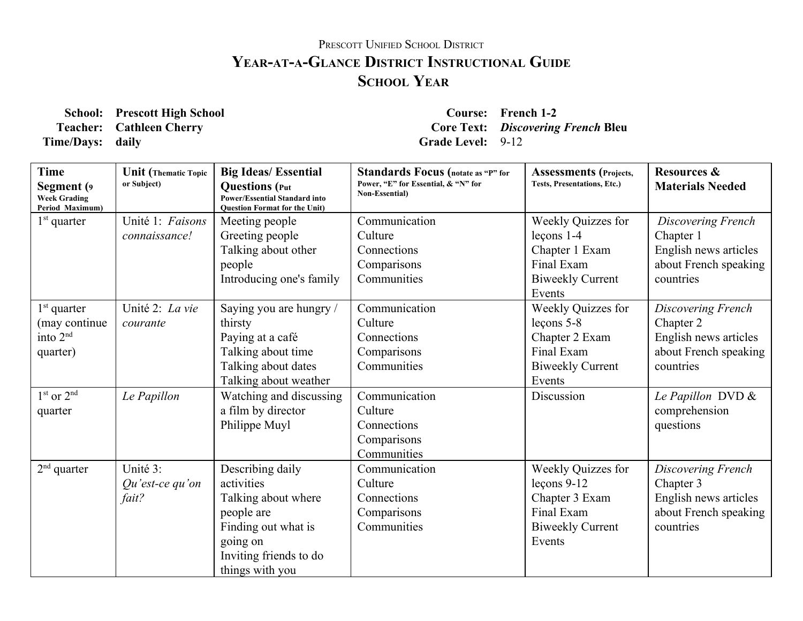## PRESCOTT UNIFIED SCHOOL DISTRICT **YEARATAGLANCE DISTRICT INSTRUCTIONAL GUIDE SCHOOL YEAR**

**School: Prescott High School Course: French 12 Time/Days:** daily **Grade** Level: 9-12

**Teacher: Cathleen Cherry Core Text:** *Discovering French* **Bleu**

| Time<br>Segment (9<br><b>Week Grading</b><br>Period Maximum)       | <b>Unit</b> (Thematic Topic<br>or Subject) | <b>Big Ideas/Essential</b><br><b>Questions</b> (Put<br><b>Power/Essential Standard into</b><br><b>Ouestion Format for the Unit)</b>                 | <b>Standards Focus</b> (notate as "P" for<br>Power, "E" for Essential, & "N" for<br><b>Non-Essential</b> ) | <b>Assessments (Projects,</b><br>Tests, Presentations, Etc.)                                             | <b>Resources &amp;</b><br><b>Materials Needed</b>                                              |
|--------------------------------------------------------------------|--------------------------------------------|-----------------------------------------------------------------------------------------------------------------------------------------------------|------------------------------------------------------------------------------------------------------------|----------------------------------------------------------------------------------------------------------|------------------------------------------------------------------------------------------------|
| $1st$ quarter                                                      | Unité 1: Faisons<br>connaissance!          | Meeting people<br>Greeting people<br>Talking about other<br>people<br>Introducing one's family                                                      | Communication<br>Culture<br>Connections<br>Comparisons<br>Communities                                      | Weekly Quizzes for<br>$lecons 1-4$<br>Chapter 1 Exam<br>Final Exam<br><b>Biweekly Current</b><br>Events  | Discovering French<br>Chapter 1<br>English news articles<br>about French speaking<br>countries |
| $1st$ quarter<br>(may continue<br>into 2 <sup>nd</sup><br>quarter) | Unité 2: La vie<br>courante                | Saying you are hungry /<br>thirsty<br>Paying at a café<br>Talking about time<br>Talking about dates<br>Talking about weather                        | Communication<br>Culture<br>Connections<br>Comparisons<br>Communities                                      | Weekly Quizzes for<br>$leçons 5-8$<br>Chapter 2 Exam<br>Final Exam<br><b>Biweekly Current</b><br>Events  | Discovering French<br>Chapter 2<br>English news articles<br>about French speaking<br>countries |
| $1st$ or $2nd$<br>quarter                                          | Le Papillon                                | Watching and discussing<br>a film by director<br>Philippe Muyl                                                                                      | Communication<br>Culture<br>Connections<br>Comparisons<br>Communities                                      | Discussion                                                                                               | Le Papillon DVD &<br>comprehension<br>questions                                                |
| $2nd$ quarter                                                      | Unité 3:<br>$Qu'est-ce qu'on$<br>fait?     | Describing daily<br>activities<br>Talking about where<br>people are<br>Finding out what is<br>going on<br>Inviting friends to do<br>things with you | Communication<br>Culture<br>Connections<br>Comparisons<br>Communities                                      | Weekly Quizzes for<br>$lecons 9-12$<br>Chapter 3 Exam<br>Final Exam<br><b>Biweekly Current</b><br>Events | Discovering French<br>Chapter 3<br>English news articles<br>about French speaking<br>countries |